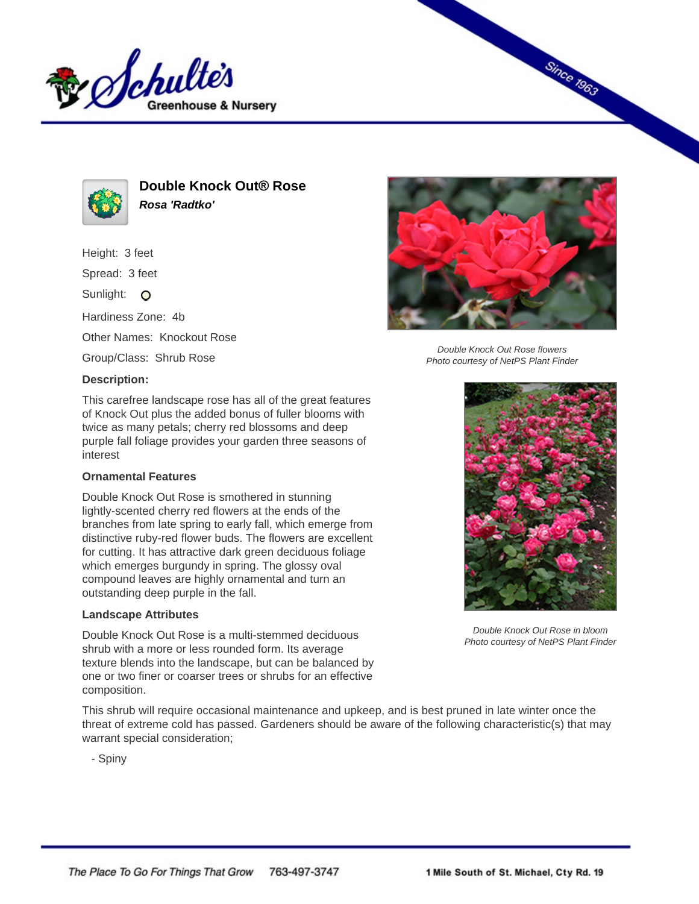



**Double Knock Out® Rose Rosa 'Radtko'**

Height: 3 feet

Spread: 3 feet

Sunlight: O

Hardiness Zone: 4b

Other Names: Knockout Rose

Group/Class: Shrub Rose

## **Description:**

This carefree landscape rose has all of the great features of Knock Out plus the added bonus of fuller blooms with twice as many petals; cherry red blossoms and deep purple fall foliage provides your garden three seasons of interest

## **Ornamental Features**

Double Knock Out Rose is smothered in stunning lightly-scented cherry red flowers at the ends of the branches from late spring to early fall, which emerge from distinctive ruby-red flower buds. The flowers are excellent for cutting. It has attractive dark green deciduous foliage which emerges burgundy in spring. The glossy oval compound leaves are highly ornamental and turn an outstanding deep purple in the fall.

## **Landscape Attributes**

Double Knock Out Rose is a multi-stemmed deciduous shrub with a more or less rounded form. Its average texture blends into the landscape, but can be balanced by one or two finer or coarser trees or shrubs for an effective composition.

This shrub will require occasional maintenance and upkeep, and is best pruned in late winter once the threat of extreme cold has passed. Gardeners should be aware of the following characteristic(s) that may warrant special consideration;

- Spiny



**Since 1963** 

Double Knock Out Rose flowers Photo courtesy of NetPS Plant Finder



Double Knock Out Rose in bloom Photo courtesy of NetPS Plant Finder